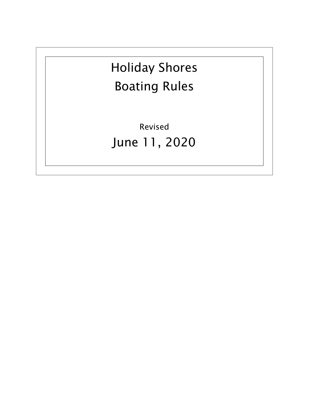# Holiday Shores Boating Rules

Revised June 11, 2020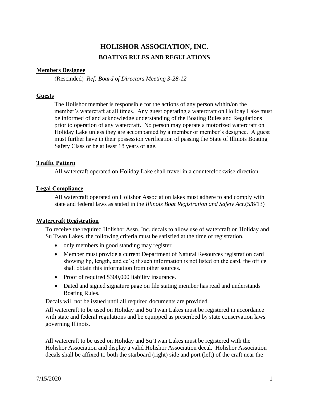# **HOLISHOR ASSOCIATION, INC. BOATING RULES AND REGULATIONS**

# **Members Designee**

(Rescinded) *Ref: Board of Directors Meeting 3-28-12*

# **Guests**

The Holishor member is responsible for the actions of any person within/on the member's watercraft at all times. Any guest operating a watercraft on Holiday Lake must be informed of and acknowledge understanding of the Boating Rules and Regulations prior to operation of any watercraft. No person may operate a motorized watercraft on Holiday Lake unless they are accompanied by a member or member's designee. A guest must further have in their possession verification of passing the State of Illinois Boating Safety Class or be at least 18 years of age.

# **Traffic Pattern**

All watercraft operated on Holiday Lake shall travel in a counterclockwise direction.

# **Legal Compliance**

All watercraft operated on Holishor Association lakes must adhere to and comply with state and federal laws as stated in the *Illinois Boat Registration and Safety Act.*(5/8/13)

# **Watercraft Registration**

To receive the required Holishor Assn. Inc. decals to allow use of watercraft on Holiday and Su Twan Lakes, the following criteria must be satisfied at the time of registration.

- only members in good standing may register
- Member must provide a current Department of Natural Resources registration card showing hp, length, and cc's; if such information is not listed on the card, the office shall obtain this information from other sources.
- Proof of required \$300,000 liability insurance.
- Dated and signed signature page on file stating member has read and understands Boating Rules.

Decals will not be issued until all required documents are provided.

All watercraft to be used on Holiday and Su Twan Lakes must be registered in accordance with state and federal regulations and be equipped as prescribed by state conservation laws governing Illinois.

All watercraft to be used on Holiday and Su Twan Lakes must be registered with the Holishor Association and display a valid Holishor Association decal. Holishor Association decals shall be affixed to both the starboard (right) side and port (left) of the craft near the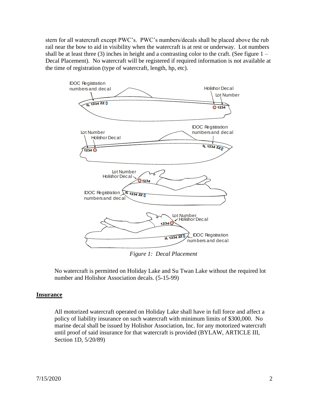stern for all watercraft except PWC's. PWC's numbers/decals shall be placed above the rub rail near the bow to aid in visibility when the watercraft is at rest or underway. Lot numbers shall be at least three  $(3)$  inches in height and a contrasting color to the craft. (See figure  $1 -$ Decal Placement). No watercraft will be registered if required information is not available at the time of registration (type of watercraft, length, hp, etc).



*Figure 1: Decal Placement*

No watercraft is permitted on Holiday Lake and Su Twan Lake without the required lot number and Holishor Association decals. (5-15-99)

# **Insurance**

All motorized watercraft operated on Holiday Lake shall have in full force and affect a policy of liability insurance on such watercraft with minimum limits of \$300,000. No marine decal shall be issued by Holishor Association, Inc. for any motorized watercraft until proof of said insurance for that watercraft is provided (BYLAW, ARTICLE III, Section 1D, 5/20/89)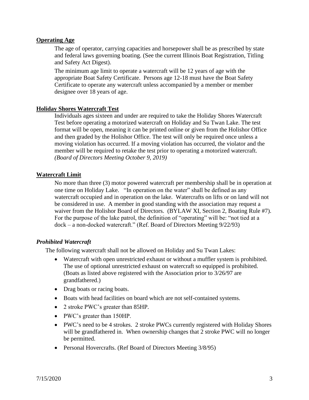# **Operating Age**

The age of operator, carrying capacities and horsepower shall be as prescribed by state and federal laws governing boating. (See the current Illinois Boat Registration, Titling and Safety Act Digest).

The minimum age limit to operate a watercraft will be 12 years of age with the appropriate Boat Safety Certificate. Persons age 12-18 must have the Boat Safety Certificate to operate any watercraft unless accompanied by a member or member designee over 18 years of age.

# **Holiday Shores Watercraft Test**

Individuals ages sixteen and under are required to take the Holiday Shores Watercraft Test before operating a motorized watercraft on Holiday and Su Twan Lake. The test format will be open, meaning it can be printed online or given from the Holishor Office and then graded by the Holishor Office. The test will only be required once unless a moving violation has occurred. If a moving violation has occurred, the violator and the member will be required to retake the test prior to operating a motorized watercraft. *(Board of Directors Meeting October 9, 2019)*

# **Watercraft Limit**

No more than three (3) motor powered watercraft per membership shall be in operation at one time on Holiday Lake. "In operation on the water" shall be defined as any watercraft occupied and in operation on the lake. Watercrafts on lifts or on land will not be considered in use. A member in good standing with the association may request a waiver from the Holishor Board of Directors. (BYLAW XI, Section 2, Boating Rule #7). For the purpose of the lake patrol, the definition of "operating" will be: "not tied at a dock – a non-docked watercraft." (Ref. Board of Directors Meeting 9/22/93)

# *Prohibited Watercraft*

The following watercraft shall not be allowed on Holiday and Su Twan Lakes:

- Watercraft with open unrestricted exhaust or without a muffler system is prohibited. The use of optional unrestricted exhaust on watercraft so equipped is prohibited. (Boats as listed above registered with the Association prior to 3/26/97 are grandfathered.)
- Drag boats or racing boats.
- Boats with head facilities on board which are not self-contained systems.
- 2 stroke PWC's greater than 85HP.
- PWC's greater than 150HP.
- PWC's need to be 4 strokes. 2 stroke PWCs currently registered with Holiday Shores will be grandfathered in. When ownership changes that 2 stroke PWC will no longer be permitted.
- Personal Hovercrafts. (Ref Board of Directors Meeting 3/8/95)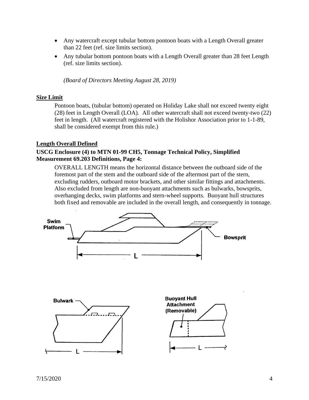- Any watercraft except tubular bottom pontoon boats with a Length Overall greater than 22 feet (ref. size limits section).
- Any tubular bottom pontoon boats with a Length Overall greater than 28 feet Length (ref. size limits section).

*(Board of Directors Meeting August 28, 2019)*

#### **Size Limit**

Pontoon boats, (tubular bottom) operated on Holiday Lake shall not exceed twenty eight (28) feet in Length Overall (LOA). All other watercraft shall not exceed twenty-two (22) feet in length. (All watercraft registered with the Holishor Association prior to 1-1-89, shall be considered exempt from this rule.)

#### **Length Overall Defined**

# **USCG Enclosure (4) to MTN 01-99 CH5, Tonnage Technical Policy, Simplified Measurement 69.203 Definitions, Page 4:**

OVERALL LENGTH means the horizontal distance between the outboard side of the foremost part of the stem and the outboard side of the aftermost part of the stern, excluding rudders, outboard motor brackets, and other similar fittings and attachments. Also excluded from length are non-buoyant attachments such as bulwarks, bowsprits, overhanging decks, swim platforms and stern-wheel supports. Buoyant hull structures both fixed and removable are included in the overall length, and consequently in tonnage.

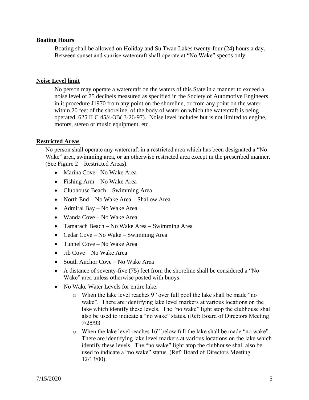# **Boating Hours**

Boating shall be allowed on Holiday and Su Twan Lakes twenty-four (24) hours a day. Between sunset and sunrise watercraft shall operate at "No Wake" speeds only.

#### **Noise Level limit**

No person may operate a watercraft on the waters of this State in a manner to exceed a noise level of 75 decibels measured as specified in the Society of Automotive Engineers in it procedure J1970 from any point on the shoreline, or from any point on the water within 20 feet of the shoreline, of the body of water on which the watercraft is being operated. 625 ILC 45/4-3B( 3-26-97). Noise level includes but is not limited to engine, motors, stereo or music equipment, etc.

#### **Restricted Areas**

No person shall operate any watercraft in a restricted area which has been designated a "No Wake" area, swimming area, or an otherwise restricted area except in the prescribed manner. (See Figure 2 – Restricted Areas).

- Marina Cove- No Wake Area
- Fishing Arm No Wake Area
- Clubhouse Beach Swimming Area
- North End No Wake Area Shallow Area
- Admiral Bay No Wake Area
- Wanda Cove No Wake Area
- Tamarach Beach No Wake Area Swimming Area
- Cedar Cove No Wake Swimming Area
- Tunnel Cove No Wake Area
- Jib Cove No Wake Area
- South Anchor Cove No Wake Area
- A distance of seventy-five (75) feet from the shoreline shall be considered a "No Wake" area unless otherwise posted with buoys.
- No Wake Water Levels for entire lake:
	- o When the lake level reaches 9" over full pool the lake shall be made "no wake". There are identifying lake level markers at various locations on the lake which identify these levels. The "no wake" light atop the clubhouse shall also be used to indicate a "no wake" status. (Ref: Board of Directors Meeting 7/28/93
	- o When the lake level reaches 16" below full the lake shall be made "no wake". There are identifying lake level markers at various locations on the lake which identify these levels. The "no wake" light atop the clubhouse shall also be used to indicate a "no wake" status. (Ref: Board of Directors Meeting 12/13/00).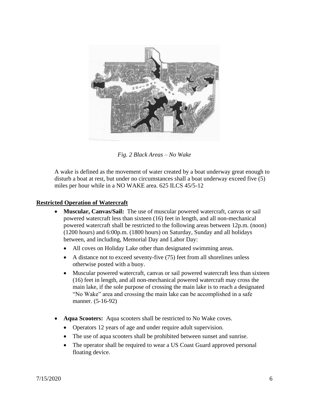

*Fig. 2 Black Areas – No Wake*

A wake is defined as the movement of water created by a boat underway great enough to disturb a boat at rest, but under no circumstances shall a boat underway exceed five (5) miles per hour while in a NO WAKE area. 625 ILCS 45/5-12

# **Restricted Operation of Watercraft**

- **Muscular, Canvas/Sail:** The use of muscular powered watercraft, canvas or sail powered watercraft less than sixteen (16) feet in length, and all non-mechanical powered watercraft shall be restricted to the following areas between 12p.m. (noon) (1200 hours) and 6:00p.m. (1800 hours) on Saturday, Sunday and all holidays between, and including, Memorial Day and Labor Day:
	- All coves on Holiday Lake other than designated swimming areas.
	- A distance not to exceed seventy-five (75) feet from all shorelines unless otherwise posted with a buoy.
	- Muscular powered watercraft, canvas or sail powered watercraft less than sixteen (16) feet in length, and all non-mechanical powered watercraft may cross the main lake, if the sole purpose of crossing the main lake is to reach a designated "No Wake" area and crossing the main lake can be accomplished in a safe manner. (5-16-92)
- **Aqua Scooters:** Aqua scooters shall be restricted to No Wake coves.
	- Operators 12 years of age and under require adult supervision.
	- The use of aqua scooters shall be prohibited between sunset and sunrise.
	- The operator shall be required to wear a US Coast Guard approved personal floating device.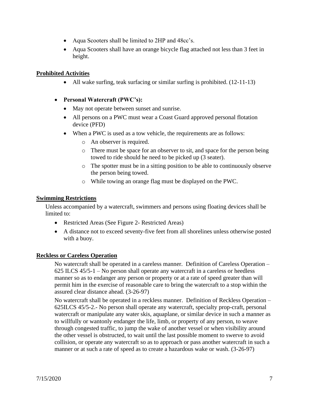- Aqua Scooters shall be limited to 2HP and 48cc's.
- Aqua Scooters shall have an orange bicycle flag attached not less than 3 feet in height.

# **Prohibited Activities**

• All wake surfing, teak surfacing or similar surfing is prohibited.  $(12-11-13)$ 

# • **Personal Watercraft (PWC's):**

- May not operate between sunset and sunrise.
- All persons on a PWC must wear a Coast Guard approved personal flotation device (PFD)
- When a PWC is used as a tow vehicle, the requirements are as follows:
	- o An observer is required.
	- o There must be space for an observer to sit, and space for the person being towed to ride should he need to be picked up (3 seater).
	- o The spotter must be in a sitting position to be able to continuously observe the person being towed.
	- o While towing an orange flag must be displayed on the PWC.

# **Swimming Restrictions**

Unless accompanied by a watercraft, swimmers and persons using floating devices shall be limited to:

- Restricted Areas (See Figure 2- Restricted Areas)
- A distance not to exceed seventy-five feet from all shorelines unless otherwise posted with a buoy.

# **Reckless or Careless Operation**

No watercraft shall be operated in a careless manner. Definition of Careless Operation – 625 ILCS 45/5-1 – No person shall operate any watercraft in a careless or heedless manner so as to endanger any person or property or at a rate of speed greater than will permit him in the exercise of reasonable care to bring the watercraft to a stop within the assured clear distance ahead. (3-26-97)

No watercraft shall be operated in a reckless manner. Definition of Reckless Operation – 625ILCS 45/5-2.- No person shall operate any watercraft, specialty prop-craft, personal watercraft or manipulate any water skis, aquaplane, or similar device in such a manner as to willfully or wantonly endanger the life, limb, or property of any person, to weave through congested traffic, to jump the wake of another vessel or when visibility around the other vessel is obstructed, to wait until the last possible moment to swerve to avoid collision, or operate any watercraft so as to approach or pass another watercraft in such a manner or at such a rate of speed as to create a hazardous wake or wash. (3-26-97)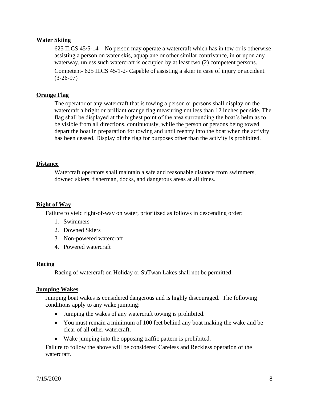# **Water Skiing**

625 ILCS 45/5-14 – No person may operate a watercraft which has in tow or is otherwise assisting a person on water skis, aquaplane or other similar contrivance, in or upon any waterway, unless such watercraft is occupied by at least two (2) competent persons.

Competent- 625 ILCS 45/1-2- Capable of assisting a skier in case of injury or accident.  $(3-26-97)$ 

#### **Orange Flag**

The operator of any watercraft that is towing a person or persons shall display on the watercraft a bright or brilliant orange flag measuring not less than 12 inches per side. The flag shall be displayed at the highest point of the area surrounding the boat's helm as to be visible from all directions, continuously, while the person or persons being towed depart the boat in preparation for towing and until reentry into the boat when the activity has been ceased. Display of the flag for purposes other than the activity is prohibited.

#### **Distance**

Watercraft operators shall maintain a safe and reasonable distance from swimmers, downed skiers, fisherman, docks, and dangerous areas at all times.

# **Right of Way**

**F**ailure to yield right-of-way on water, prioritized as follows in descending order:

- 1. Swimmers
- 2. Downed Skiers
- 3. Non-powered watercraft
- 4. Powered watercraft

#### **Racing**

Racing of watercraft on Holiday or SuTwan Lakes shall not be permitted.

#### **Jumping Wakes**

Jumping boat wakes is considered dangerous and is highly discouraged. The following conditions apply to any wake jumping:

- Jumping the wakes of any watercraft towing is prohibited.
- You must remain a minimum of 100 feet behind any boat making the wake and be clear of all other watercraft.
- Wake jumping into the opposing traffic pattern is prohibited.

Failure to follow the above will be considered Careless and Reckless operation of the watercraft.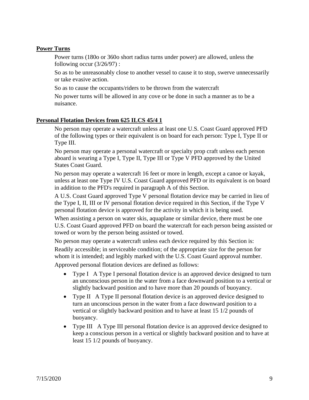# **Power Turns**

Power turns (180o or 360o short radius turns under power) are allowed, unless the following occur (3/26/97) :

So as to be unreasonably close to another vessel to cause it to stop, swerve unnecessarily or take evasive action.

So as to cause the occupants/riders to be thrown from the watercraft

No power turns will be allowed in any cove or be done in such a manner as to be a nuisance.

# **Personal Flotation Devices from 625 ILCS 45/4 1**

No person may operate a watercraft unless at least one U.S. Coast Guard approved PFD of the following types or their equivalent is on board for each person: Type I, Type II or Type III.

No person may operate a personal watercraft or specialty prop craft unless each person aboard is wearing a Type I, Type II, Type III or Type V PFD approved by the United States Coast Guard.

No person may operate a watercraft 16 feet or more in length, except a canoe or kayak, unless at least one Type IV U.S. Coast Guard approved PFD or its equivalent is on board in addition to the PFD's required in paragraph A of this Section.

A U.S. Coast Guard approved Type V personal flotation device may be carried in lieu of the Type I, II, III or IV personal flotation device required in this Section, if the Type V personal flotation device is approved for the activity in which it is being used.

When assisting a person on water skis, aquaplane or similar device, there must be one U.S. Coast Guard approved PFD on board the watercraft for each person being assisted or towed or worn by the person being assisted or towed.

No person may operate a watercraft unless each device required by this Section is:

Readily accessible; in serviceable condition; of the appropriate size for the person for whom it is intended; and legibly marked with the U.S. Coast Guard approval number.

Approved personal flotation devices are defined as follows:

- Type I A Type I personal flotation device is an approved device designed to turn an unconscious person in the water from a face downward position to a vertical or slightly backward position and to have more than 20 pounds of buoyancy.
- Type II A Type II personal flotation device is an approved device designed to turn an unconscious person in the water from a face downward position to a vertical or slightly backward position and to have at least 15 1/2 pounds of buoyancy.
- Type III A Type III personal flotation device is an approved device designed to keep a conscious person in a vertical or slightly backward position and to have at least 15 1/2 pounds of buoyancy.